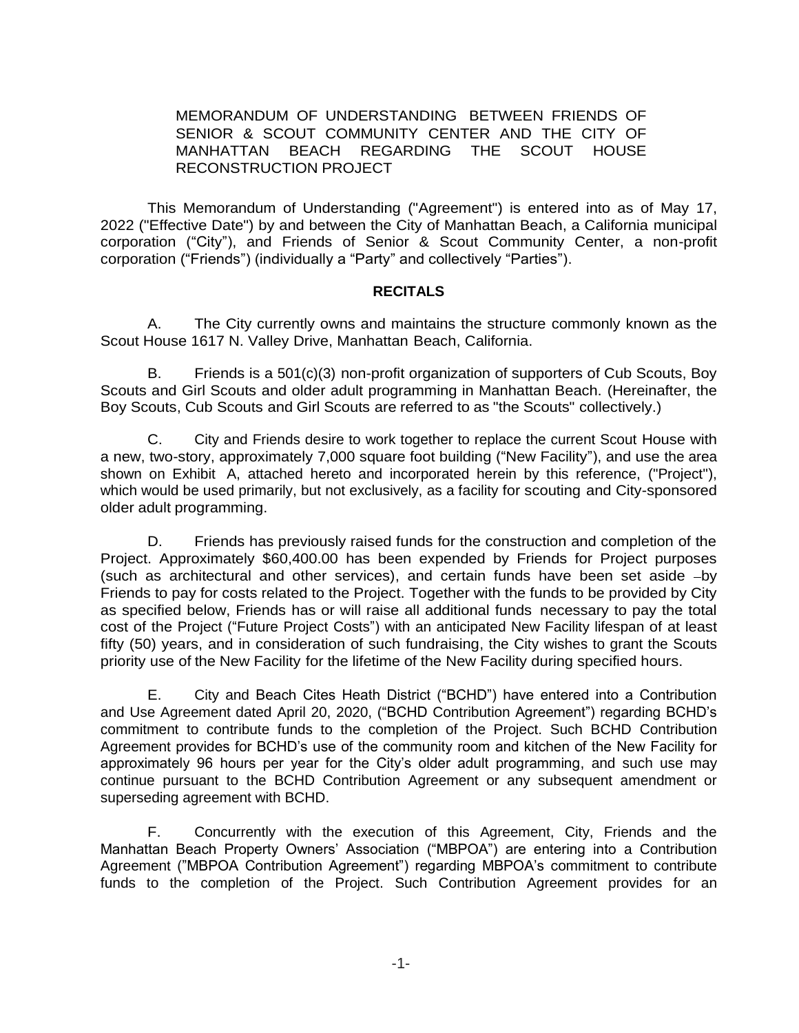#### MEMORANDUM OF UNDERSTANDING BETWEEN FRIENDS OF SENIOR & SCOUT COMMUNITY CENTER AND THE CITY OF MANHATTAN BEACH REGARDING THE SCOUT HOUSE RECONSTRUCTION PROJECT

This Memorandum of Understanding ("Agreement") is entered into as of May 17, 2022 ("Effective Date") by and between the City of Manhattan Beach, a California municipal corporation ("City"), and Friends of Senior & Scout Community Center, a non-profit corporation ("Friends") (individually a "Party" and collectively "Parties").

#### **RECITALS**

A. The City currently owns and maintains the structure commonly known as the Scout House 1617 N. Valley Drive, Manhattan Beach, California.

B. Friends is a 501(c)(3) non-profit organization of supporters of Cub Scouts, Boy Scouts and Girl Scouts and older adult programming in Manhattan Beach. (Hereinafter, the Boy Scouts, Cub Scouts and Girl Scouts are referred to as "the Scouts" collectively.)

C. City and Friends desire to work together to replace the current Scout House with a new, two-story, approximately 7,000 square foot building ("New Facility"), and use the area shown on Exhibit A, attached hereto and incorporated herein by this reference, ("Project''), which would be used primarily, but not exclusively, as a facility for scouting and City-sponsored older adult programming.

D. Friends has previously raised funds for the construction and completion of the Project. Approximately \$60,400.00 has been expended by Friends for Project purposes (such as architectural and other services), and certain funds have been set aside -by Friends to pay for costs related to the Project. Together with the funds to be provided by City as specified below, Friends has or will raise all additional funds necessary to pay the total cost of the Project ("Future Project Costs") with an anticipated New Facility lifespan of at least fifty (50) years, and in consideration of such fundraising, the City wishes to grant the Scouts priority use of the New Facility for the lifetime of the New Facility during specified hours.

E. City and Beach Cites Heath District ("BCHD") have entered into a Contribution and Use Agreement dated April 20, 2020, ("BCHD Contribution Agreement") regarding BCHD's commitment to contribute funds to the completion of the Project. Such BCHD Contribution Agreement provides for BCHD's use of the community room and kitchen of the New Facility for approximately 96 hours per year for the City's older adult programming, and such use may continue pursuant to the BCHD Contribution Agreement or any subsequent amendment or superseding agreement with BCHD.

F. Concurrently with the execution of this Agreement, City, Friends and the Manhattan Beach Property Owners' Association ("MBPOA") are entering into a Contribution Agreement ("MBPOA Contribution Agreement") regarding MBPOA's commitment to contribute funds to the completion of the Project. Such Contribution Agreement provides for an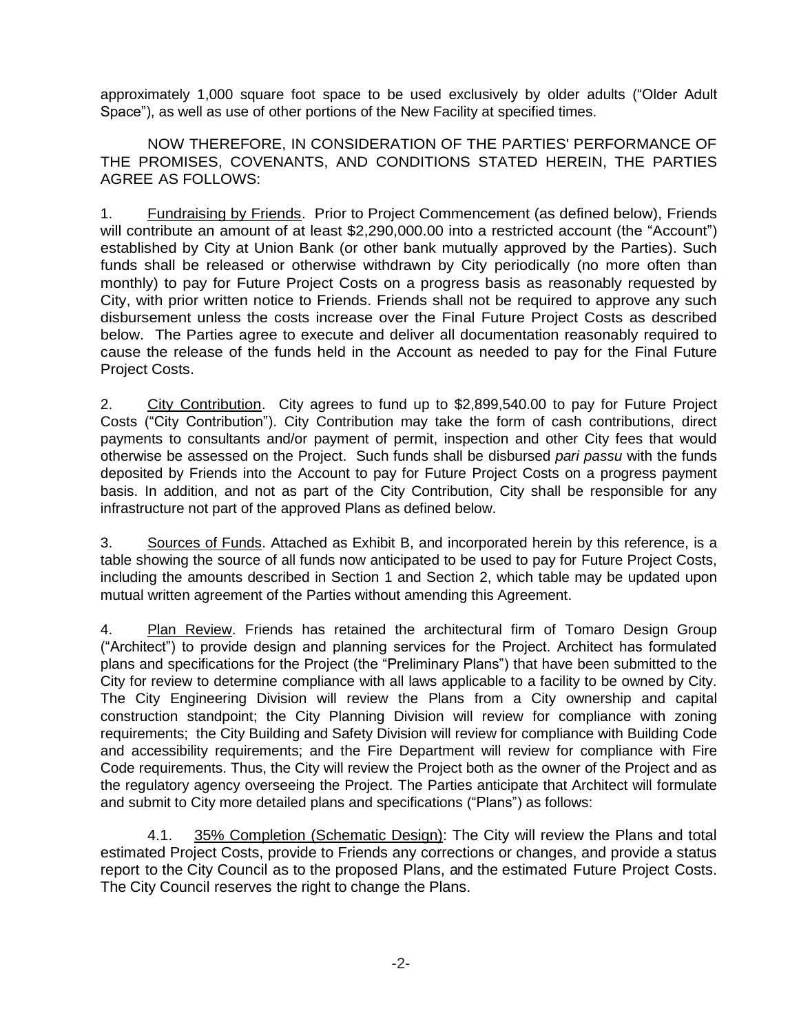approximately 1,000 square foot space to be used exclusively by older adults ("Older Adult Space"), as well as use of other portions of the New Facility at specified times.

NOW THEREFORE, IN CONSIDERATION OF THE PARTIES' PERFORMANCE OF THE PROMISES, COVENANTS, AND CONDITIONS STATED HEREIN, THE PARTIES AGREE AS FOLLOWS:

1. **Fundraising by Friends.** Prior to Project Commencement (as defined below), Friends will contribute an amount of at least \$2,290,000.00 into a restricted account (the "Account") established by City at Union Bank (or other bank mutually approved by the Parties). Such funds shall be released or otherwise withdrawn by City periodically (no more often than monthly) to pay for Future Project Costs on a progress basis as reasonably requested by City, with prior written notice to Friends. Friends shall not be required to approve any such disbursement unless the costs increase over the Final Future Project Costs as described below. The Parties agree to execute and deliver all documentation reasonably required to cause the release of the funds held in the Account as needed to pay for the Final Future Project Costs.

2. City Contribution. City agrees to fund up to \$2,899,540.00 to pay for Future Project Costs ("City Contribution"). City Contribution may take the form of cash contributions, direct payments to consultants and/or payment of permit, inspection and other City fees that would otherwise be assessed on the Project. Such funds shall be disbursed *pari passu* with the funds deposited by Friends into the Account to pay for Future Project Costs on a progress payment basis. In addition, and not as part of the City Contribution, City shall be responsible for any infrastructure not part of the approved Plans as defined below.

3. Sources of Funds. Attached as Exhibit B, and incorporated herein by this reference, is a table showing the source of all funds now anticipated to be used to pay for Future Project Costs, including the amounts described in Section 1 and Section 2, which table may be updated upon mutual written agreement of the Parties without amending this Agreement.

4. Plan Review. Friends has retained the architectural firm of Tomaro Design Group ("Architect") to provide design and planning services for the Project. Architect has formulated plans and specifications for the Project (the "Preliminary Plans") that have been submitted to the City for review to determine compliance with all laws applicable to a facility to be owned by City. The City Engineering Division will review the Plans from a City ownership and capital construction standpoint; the City Planning Division will review for compliance with zoning requirements; the City Building and Safety Division will review for compliance with Building Code and accessibility requirements; and the Fire Department will review for compliance with Fire Code requirements. Thus, the City will review the Project both as the owner of the Project and as the regulatory agency overseeing the Project. The Parties anticipate that Architect will formulate and submit to City more detailed plans and specifications ("Plans") as follows:

4.1. 35% Completion (Schematic Design): The City will review the Plans and total estimated Project Costs, provide to Friends any corrections or changes, and provide a status report to the City Council as to the proposed Plans, and the estimated Future Project Costs. The City Council reserves the right to change the Plans.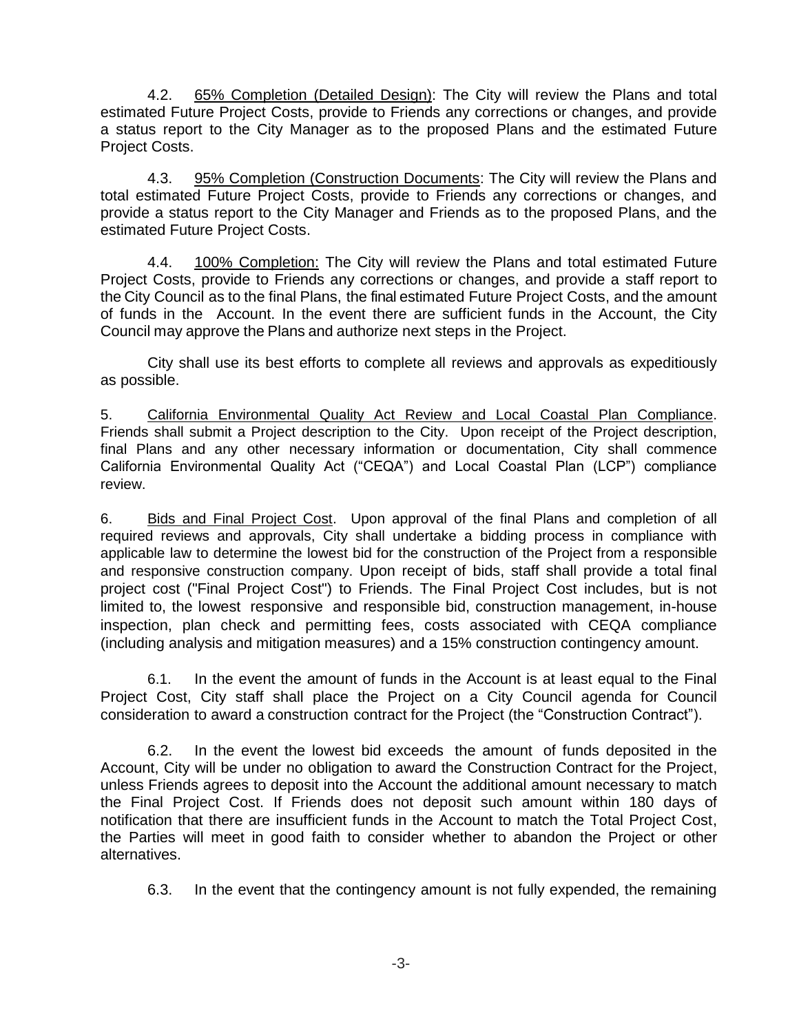4.2. 65% Completion (Detailed Design): The City will review the Plans and total estimated Future Project Costs, provide to Friends any corrections or changes, and provide a status report to the City Manager as to the proposed Plans and the estimated Future Project Costs.

4.3. 95% Completion (Construction Documents: The City will review the Plans and total estimated Future Project Costs, provide to Friends any corrections or changes, and provide a status report to the City Manager and Friends as to the proposed Plans, and the estimated Future Project Costs.

4.4. 100% Completion: The City will review the Plans and total estimated Future Project Costs, provide to Friends any corrections or changes, and provide a staff report to the City Council as to the final Plans, the final estimated Future Project Costs, and the amount of funds in the Account. In the event there are sufficient funds in the Account, the City Council may approve the Plans and authorize next steps in the Project.

City shall use its best efforts to complete all reviews and approvals as expeditiously as possible.

5. California Environmental Quality Act Review and Local Coastal Plan Compliance. Friends shall submit a Project description to the City. Upon receipt of the Project description, final Plans and any other necessary information or documentation, City shall commence California Environmental Quality Act ("CEQA") and Local Coastal Plan (LCP") compliance review.

6. Bids and Final Project Cost. Upon approval of the final Plans and completion of all required reviews and approvals, City shall undertake a bidding process in compliance with applicable law to determine the lowest bid for the construction of the Project from a responsible and responsive construction company. Upon receipt of bids, staff shall provide a total final project cost ("Final Project Cost") to Friends. The Final Project Cost includes, but is not limited to, the lowest responsive and responsible bid, construction management, in-house inspection, plan check and permitting fees, costs associated with CEQA compliance (including analysis and mitigation measures) and a 15% construction contingency amount.

6.1. In the event the amount of funds in the Account is at least equal to the Final Project Cost, City staff shall place the Project on a City Council agenda for Council consideration to award a construction contract for the Project (the "Construction Contract").

6.2. In the event the lowest bid exceeds the amount of funds deposited in the Account, City will be under no obligation to award the Construction Contract for the Project, unless Friends agrees to deposit into the Account the additional amount necessary to match the Final Project Cost. If Friends does not deposit such amount within 180 days of notification that there are insufficient funds in the Account to match the Total Project Cost, the Parties will meet in good faith to consider whether to abandon the Project or other alternatives.

6.3. In the event that the contingency amount is not fully expended, the remaining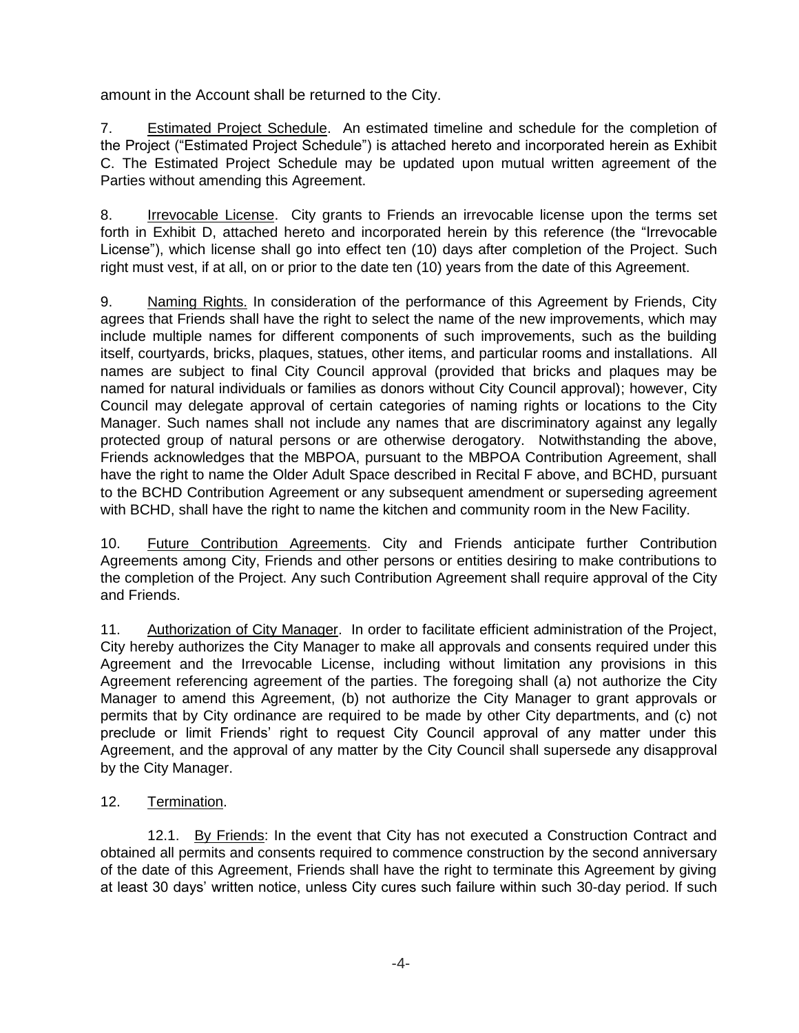amount in the Account shall be returned to the City.

7. Estimated Project Schedule. An estimated timeline and schedule for the completion of the Project ("Estimated Project Schedule") is attached hereto and incorporated herein as Exhibit C. The Estimated Project Schedule may be updated upon mutual written agreement of the Parties without amending this Agreement.

8. Irrevocable License. City grants to Friends an irrevocable license upon the terms set forth in Exhibit D, attached hereto and incorporated herein by this reference (the "Irrevocable License"), which license shall go into effect ten (10) days after completion of the Project. Such right must vest, if at all, on or prior to the date ten (10) years from the date of this Agreement.

9. Naming Rights. In consideration of the performance of this Agreement by Friends, City agrees that Friends shall have the right to select the name of the new improvements, which may include multiple names for different components of such improvements, such as the building itself, courtyards, bricks, plaques, statues, other items, and particular rooms and installations. All names are subject to final City Council approval (provided that bricks and plaques may be named for natural individuals or families as donors without City Council approval); however, City Council may delegate approval of certain categories of naming rights or locations to the City Manager. Such names shall not include any names that are discriminatory against any legally protected group of natural persons or are otherwise derogatory. Notwithstanding the above, Friends acknowledges that the MBPOA, pursuant to the MBPOA Contribution Agreement, shall have the right to name the Older Adult Space described in Recital F above, and BCHD, pursuant to the BCHD Contribution Agreement or any subsequent amendment or superseding agreement with BCHD, shall have the right to name the kitchen and community room in the New Facility.

10. Future Contribution Agreements. City and Friends anticipate further Contribution Agreements among City, Friends and other persons or entities desiring to make contributions to the completion of the Project. Any such Contribution Agreement shall require approval of the City and Friends.

11. Authorization of City Manager. In order to facilitate efficient administration of the Project, City hereby authorizes the City Manager to make all approvals and consents required under this Agreement and the Irrevocable License, including without limitation any provisions in this Agreement referencing agreement of the parties. The foregoing shall (a) not authorize the City Manager to amend this Agreement, (b) not authorize the City Manager to grant approvals or permits that by City ordinance are required to be made by other City departments, and (c) not preclude or limit Friends' right to request City Council approval of any matter under this Agreement, and the approval of any matter by the City Council shall supersede any disapproval by the City Manager.

## 12. Termination.

12.1. By Friends: In the event that City has not executed a Construction Contract and obtained all permits and consents required to commence construction by the second anniversary of the date of this Agreement, Friends shall have the right to terminate this Agreement by giving at least 30 days' written notice, unless City cures such failure within such 30-day period. If such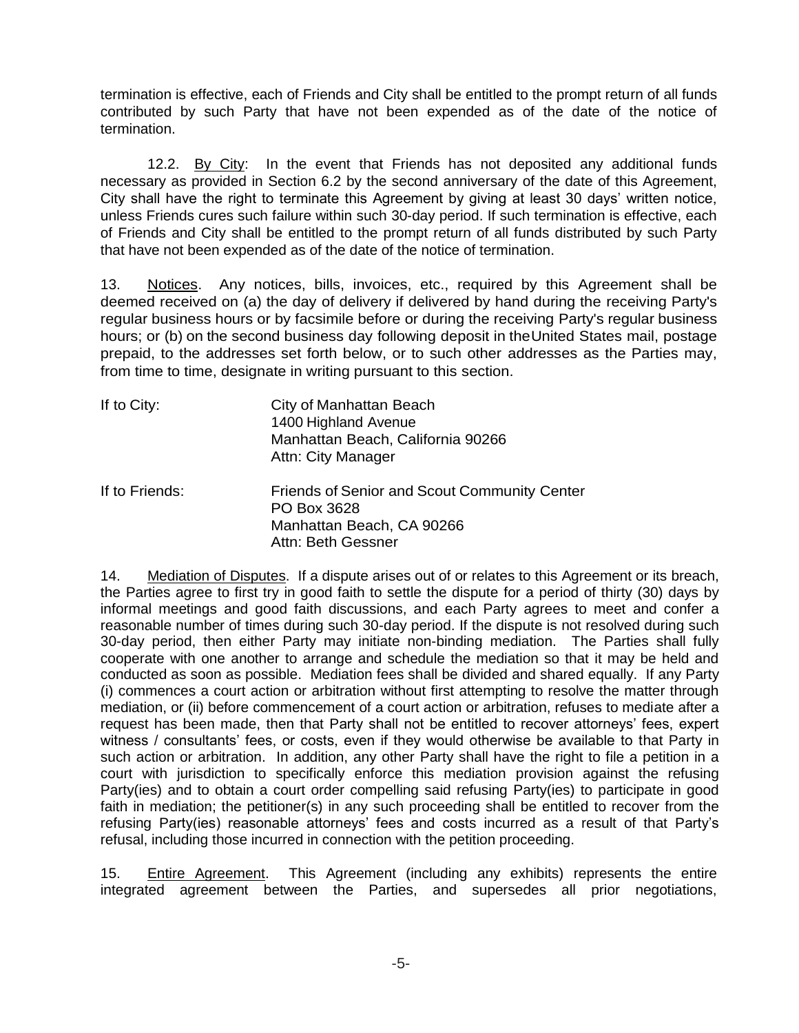termination is effective, each of Friends and City shall be entitled to the prompt return of all funds contributed by such Party that have not been expended as of the date of the notice of termination.

12.2. By City: In the event that Friends has not deposited any additional funds necessary as provided in Section 6.2 by the second anniversary of the date of this Agreement, City shall have the right to terminate this Agreement by giving at least 30 days' written notice, unless Friends cures such failure within such 30-day period. If such termination is effective, each of Friends and City shall be entitled to the prompt return of all funds distributed by such Party that have not been expended as of the date of the notice of termination.

13. Notices. Any notices, bills, invoices, etc., required by this Agreement shall be deemed received on (a) the day of delivery if delivered by hand during the receiving Party's regular business hours or by facsimile before or during the receiving Party's regular business hours; or (b) on the second business day following deposit in theUnited States mail, postage prepaid, to the addresses set forth below, or to such other addresses as the Parties may, from time to time, designate in writing pursuant to this section.

| If to City:       | City of Manhattan Beach<br>1400 Highland Avenue<br>Manhattan Beach, California 90266<br>Attn: City Manager |
|-------------------|------------------------------------------------------------------------------------------------------------|
| If to $E$ rionde: | Friends of Sonior and Scout Communit                                                                       |

If to Friends: Friends of Senior and Scout Community Center PO Box 3628 Manhattan Beach, CA 90266 Attn: Beth Gessner

14. Mediation of Disputes. If a dispute arises out of or relates to this Agreement or its breach, the Parties agree to first try in good faith to settle the dispute for a period of thirty (30) days by informal meetings and good faith discussions, and each Party agrees to meet and confer a reasonable number of times during such 30-day period. If the dispute is not resolved during such 30-day period, then either Party may initiate non-binding mediation. The Parties shall fully cooperate with one another to arrange and schedule the mediation so that it may be held and conducted as soon as possible. Mediation fees shall be divided and shared equally. If any Party (i) commences a court action or arbitration without first attempting to resolve the matter through mediation, or (ii) before commencement of a court action or arbitration, refuses to mediate after a request has been made, then that Party shall not be entitled to recover attorneys' fees, expert witness / consultants' fees, or costs, even if they would otherwise be available to that Party in such action or arbitration. In addition, any other Party shall have the right to file a petition in a court with jurisdiction to specifically enforce this mediation provision against the refusing Party(ies) and to obtain a court order compelling said refusing Party(ies) to participate in good faith in mediation; the petitioner(s) in any such proceeding shall be entitled to recover from the refusing Party(ies) reasonable attorneys' fees and costs incurred as a result of that Party's refusal, including those incurred in connection with the petition proceeding.

15. Entire Agreement. This Agreement (including any exhibits) represents the entire integrated agreement between the Parties, and supersedes all prior negotiations,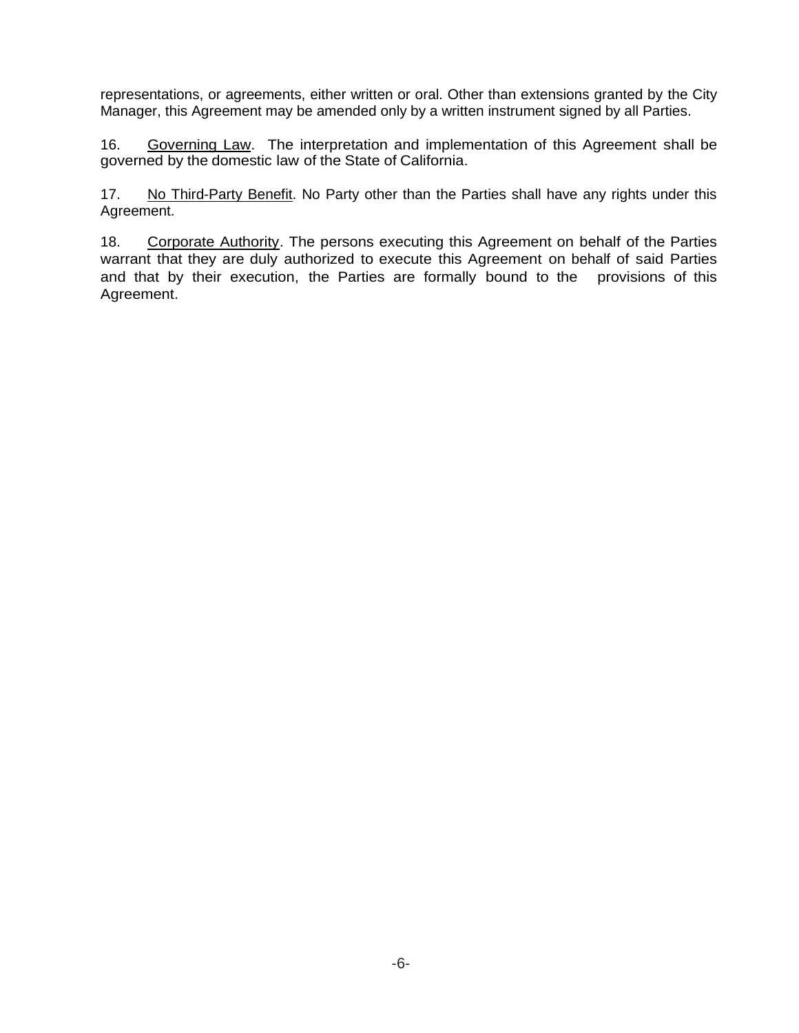representations, or agreements, either written or oral. Other than extensions granted by the City Manager, this Agreement may be amended only by a written instrument signed by all Parties.

16. Governing Law. The interpretation and implementation of this Agreement shall be governed by the domestic law of the State of California.

17. No Third-Party Benefit. No Party other than the Parties shall have any rights under this Agreement.

18. Corporate Authority. The persons executing this Agreement on behalf of the Parties warrant that they are duly authorized to execute this Agreement on behalf of said Parties and that by their execution, the Parties are formally bound to the provisions of this Agreement.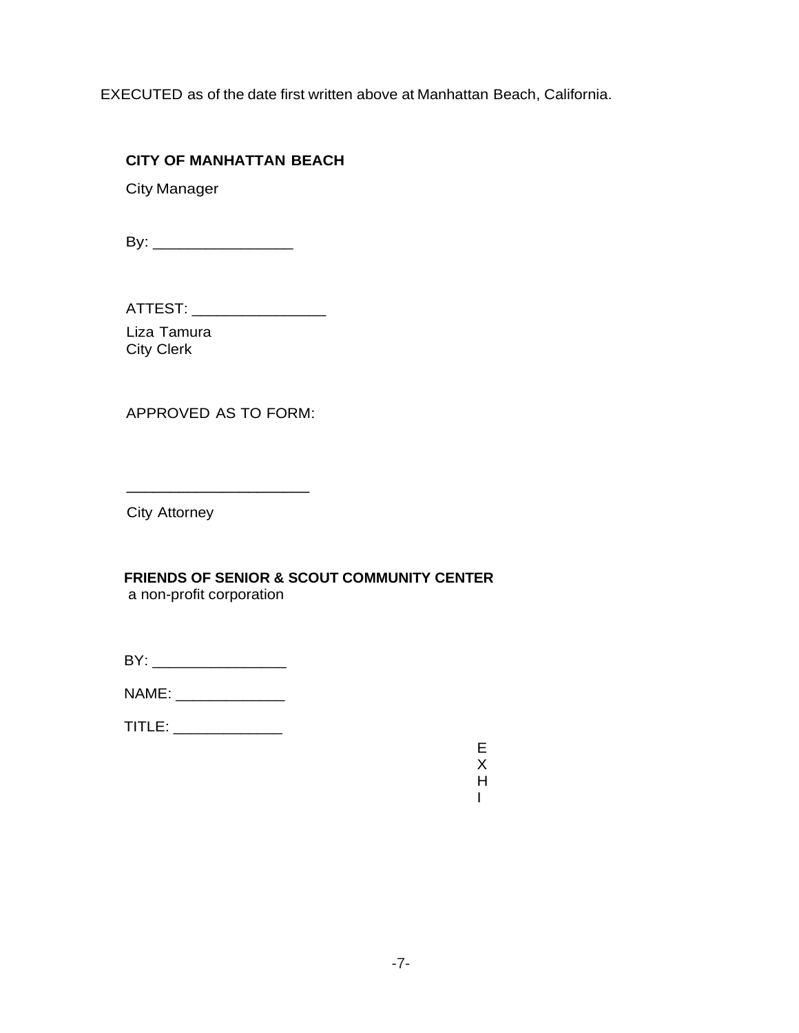EXECUTED as of the date first written above at Manhattan Beach, California.

## **CITY OF MANHATTAN BEACH**

City Manager

By: \_\_\_\_\_\_\_\_\_\_\_\_\_\_\_\_

ATTEST: \_\_\_\_\_\_\_\_\_\_\_\_\_\_\_\_\_\_\_\_\_

Liza Tamura City Clerk

APPROVED AS TO FORM:

\_\_\_\_\_\_\_\_\_\_\_\_\_\_\_\_\_\_\_\_\_

City Attorney

**FRIENDS OF SENIOR & SCOUT COMMUNITY CENTER** a non-profit corporation

| ΒY |  |  |
|----|--|--|
|    |  |  |
|    |  |  |

NAME: \_\_\_\_\_\_\_\_\_\_\_\_\_

TITLE: \_\_\_\_\_\_\_\_\_\_\_\_\_

E X H I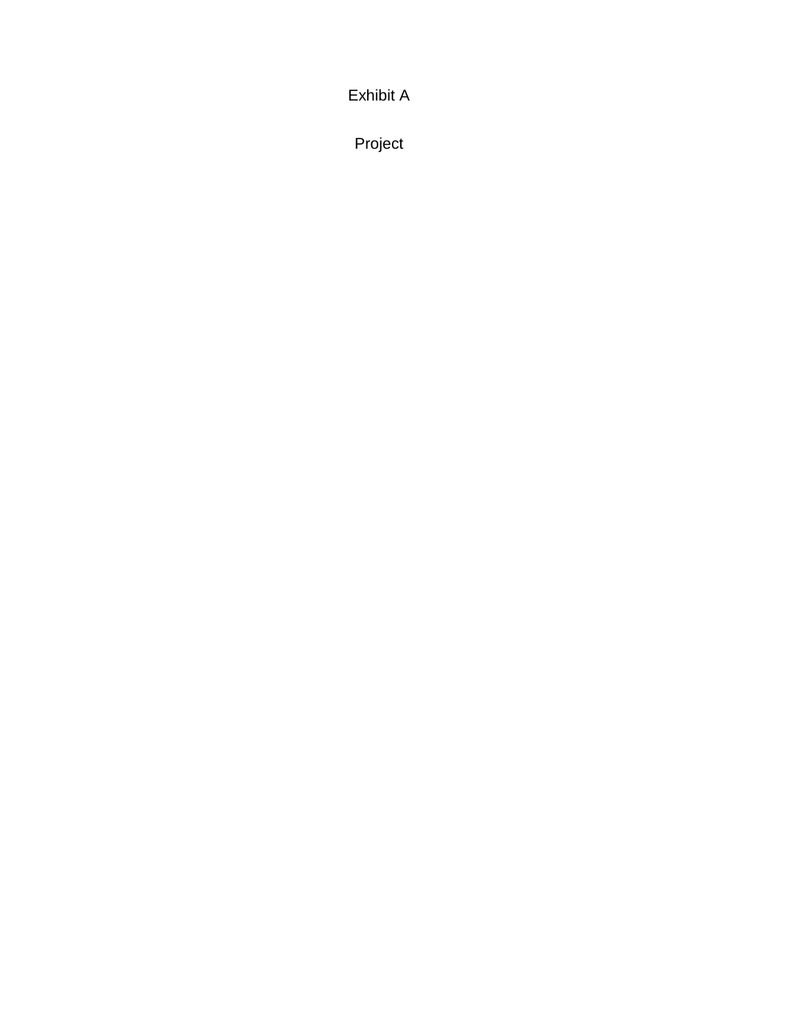Exhibit A

Project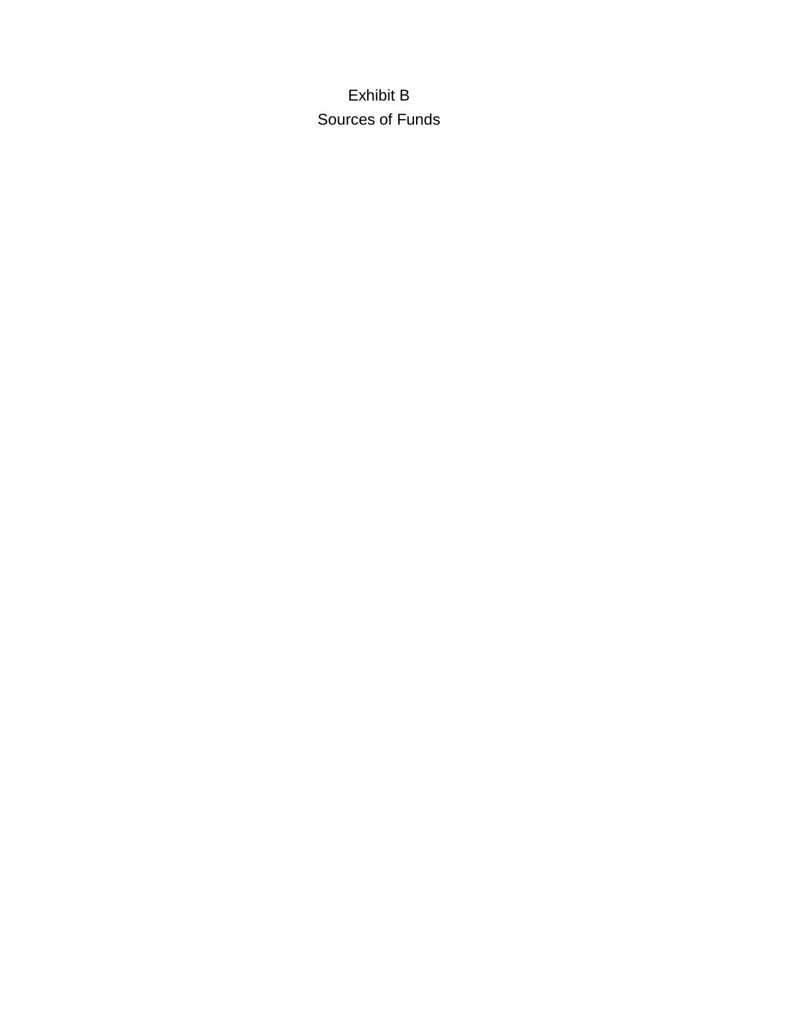Exhibit B Sources of Funds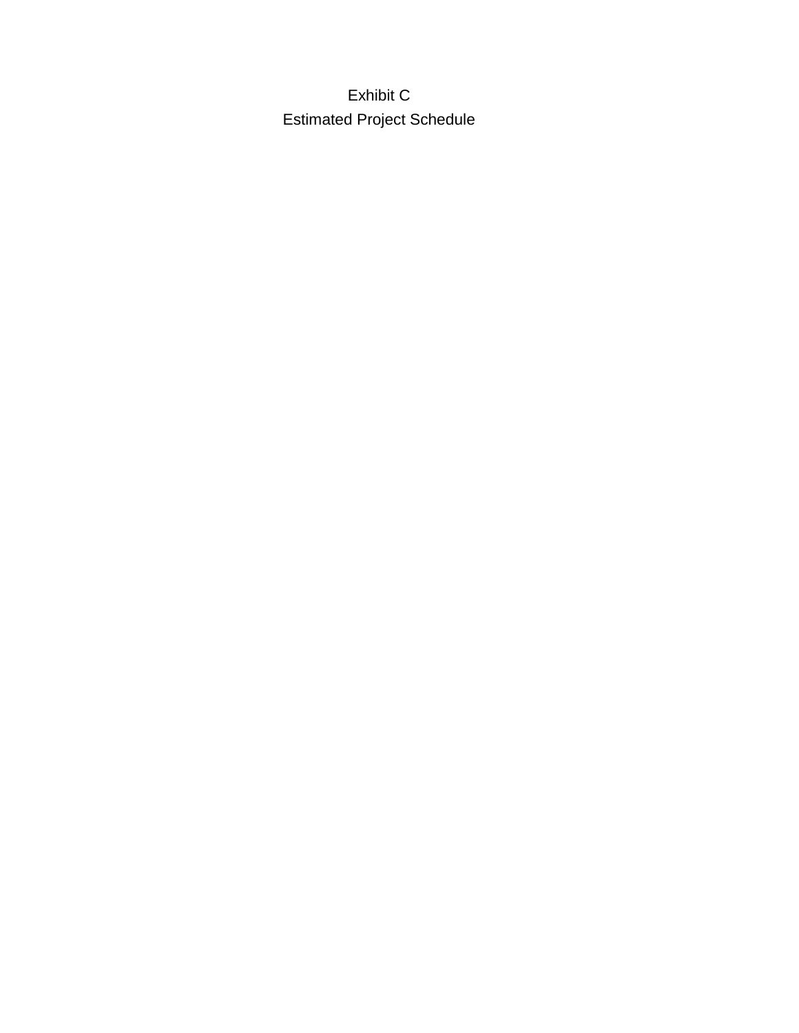Exhibit C Estimated Project Schedule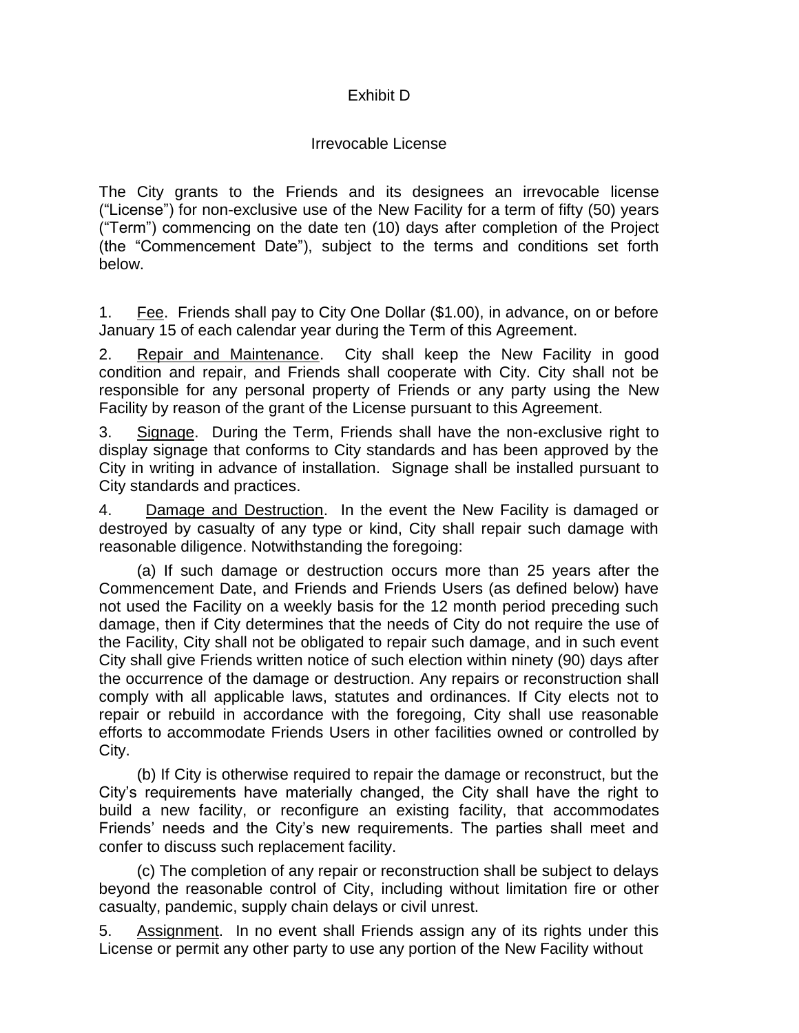# Exhibit D

## Irrevocable License

The City grants to the Friends and its designees an irrevocable license ("License") for non-exclusive use of the New Facility for a term of fifty (50) years ("Term") commencing on the date ten (10) days after completion of the Project (the "Commencement Date"), subject to the terms and conditions set forth below.

1. Fee. Friends shall pay to City One Dollar (\$1.00), in advance, on or before January 15 of each calendar year during the Term of this Agreement.

2. Repair and Maintenance. City shall keep the New Facility in good condition and repair, and Friends shall cooperate with City. City shall not be responsible for any personal property of Friends or any party using the New Facility by reason of the grant of the License pursuant to this Agreement.

3. Signage. During the Term, Friends shall have the non-exclusive right to display signage that conforms to City standards and has been approved by the City in writing in advance of installation. Signage shall be installed pursuant to City standards and practices.

4. Damage and Destruction. In the event the New Facility is damaged or destroyed by casualty of any type or kind, City shall repair such damage with reasonable diligence. Notwithstanding the foregoing:

(a) If such damage or destruction occurs more than 25 years after the Commencement Date, and Friends and Friends Users (as defined below) have not used the Facility on a weekly basis for the 12 month period preceding such damage, then if City determines that the needs of City do not require the use of the Facility, City shall not be obligated to repair such damage, and in such event City shall give Friends written notice of such election within ninety (90) days after the occurrence of the damage or destruction. Any repairs or reconstruction shall comply with all applicable laws, statutes and ordinances. If City elects not to repair or rebuild in accordance with the foregoing, City shall use reasonable efforts to accommodate Friends Users in other facilities owned or controlled by City.

(b) If City is otherwise required to repair the damage or reconstruct, but the City's requirements have materially changed, the City shall have the right to build a new facility, or reconfigure an existing facility, that accommodates Friends' needs and the City's new requirements. The parties shall meet and confer to discuss such replacement facility.

(c) The completion of any repair or reconstruction shall be subject to delays beyond the reasonable control of City, including without limitation fire or other casualty, pandemic, supply chain delays or civil unrest.

5. Assignment. In no event shall Friends assign any of its rights under this License or permit any other party to use any portion of the New Facility without